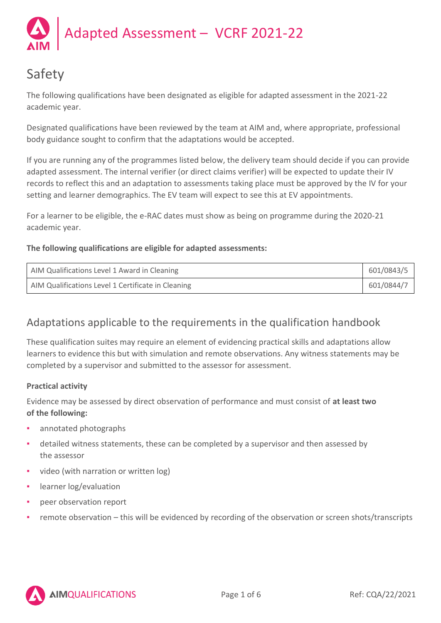

# Safety

The following qualifications have been designated as eligible for adapted assessment in the 2021-22 academic year.

Designated qualifications have been reviewed by the team at AIM and, where appropriate, professional body guidance sought to confirm that the adaptations would be accepted.

If you are running any of the programmes listed below, the delivery team should decide if you can provide adapted assessment. The internal verifier (or direct claims verifier) will be expected to update their IV records to reflect this and an adaptation to assessments taking place must be approved by the IV for your setting and learner demographics. The EV team will expect to see this at EV appointments.

For a learner to be eligible, the e-RAC dates must show as being on programme during the 2020-21 academic year.

# **The following qualifications are eligible for adapted assessments:**

| AIM Qualifications Level 1 Award in Cleaning       | 601/0843/5 |
|----------------------------------------------------|------------|
| AIM Qualifications Level 1 Certificate in Cleaning | 601/0844/7 |

# Adaptations applicable to the requirements in the qualification handbook

These qualification suites may require an element of evidencing practical skills and adaptations allow learners to evidence this but with simulation and remote observations. Any witness statements may be completed by a supervisor and submitted to the assessor for assessment.

# **Practical activity**

Evidence may be assessed by direct observation of performance and must consist of **at least two of the following:**

- annotated photographs
- detailed witness statements, these can be completed by a supervisor and then assessed by the assessor
- video (with narration or written log)
- learner log/evaluation
- peer observation report
- remote observation this will be evidenced by recording of the observation or screen shots/transcripts